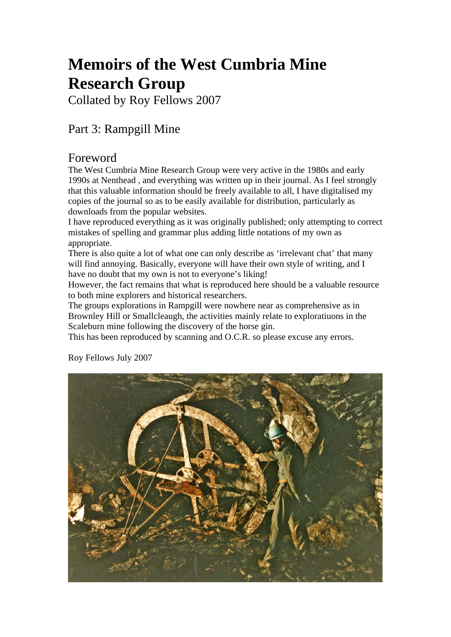# **Memoirs of the West Cumbria Mine Research Group**

Collated by Roy Fellows 2007

# Part 3: Rampgill Mine

# Foreword

The West Cumbria Mine Research Group were very active in the 1980s and early 1990s at Nenthead , and everything was written up in their journal. As I feel strongly that this valuable information should be freely available to all, I have digitalised my copies of the journal so as to be easily available for distribution, particularly as downloads from the popular websites.

I have reproduced everything as it was originally published; only attempting to correct mistakes of spelling and grammar plus adding little notations of my own as appropriate.

There is also quite a lot of what one can only describe as 'irrelevant chat' that many will find annoying. Basically, everyone will have their own style of writing, and I have no doubt that my own is not to everyone's liking!

However, the fact remains that what is reproduced here should be a valuable resource to both mine explorers and historical researchers.

The groups explorations in Rampgill were nowhere near as comprehensive as in Brownley Hill or Smallcleaugh, the activities mainly relate to exploratiuons in the Scaleburn mine following the discovery of the horse gin.

This has been reproduced by scanning and O.C.R. so please excuse any errors.



Roy Fellows July 2007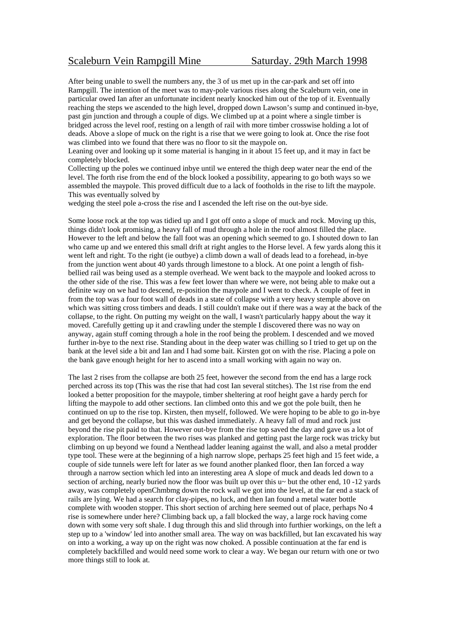# Scaleburn Vein Rampgill Mine<br>
Saturday. 29th March 1998

After being unable to swell the numbers any, the 3 of us met up in the car-park and set off into Rampgill. The intention of the meet was to may-pole various rises along the Scaleburn vein, one in particular owed Ian after an unfortunate incident nearly knocked him out of the top of it. Eventually reaching the steps we ascended to the high level, dropped down Lawson's sump and continued in-bye, past gin junction and through a couple of digs. We climbed up at a point where a single timber is bridged across the level roof, resting on a length of rail with more timber crosswise holding a lot of deads. Above a slope of muck on the right is a rise that we were going to look at. Once the rise foot was climbed into we found that there was no floor to sit the maypole on.

Leaning over and looking up it some material is hanging in it about 15 feet up, and it may in fact be completely blocked.

Collecting up the poles we continued inbye until we entered the thigh deep water near the end of the level. The forth rise from the end of the block looked a possibility, appearing to go both ways so we assembled the maypole. This proved difficult due to a lack of footholds in the rise to lift the maypole. This was eventually solved by

wedging the steel pole a-cross the rise and I ascended the left rise on the out-bye side.

Some loose rock at the top was tidied up and I got off onto a slope of muck and rock. Moving up this, things didn't look promising, a heavy fall of mud through a hole in the roof almost filled the place. However to the left and below the fall foot was an opening which seemed to go. I shouted down to Ian who came up and we entered this small drift at right angles to the Horse level. A few yards along this it went left and right. To the right (ie outbye) a climb down a wall of deads lead to a forehead, in-bye from the junction went about 40 yards through limestone to a block. At one point a length of fishbellied rail was being used as a stemple overhead. We went back to the maypole and looked across to the other side of the rise. This was a few feet lower than where we were, not being able to make out a definite way on we had to descend, re-position the maypole and I went to check. A couple of feet in from the top was a four foot wall of deads in a state of collapse with a very heavy stemple above on which was sitting cross timbers and deads. I still couldn't make out if there was a way at the back of the collapse, to the right. On putting my weight on the wall, I wasn't particularly happy about the way it moved. Carefully getting up it and crawling under the stemple I discovered there was no way on anyway, again stuff coming through a hole in the roof being the problem. I descended and we moved further in-bye to the next rise. Standing about in the deep water was chilling so I tried to get up on the bank at the level side a bit and Ian and I had some bait. Kirsten got on with the rise. Placing a pole on the bank gave enough height for her to ascend into a small working with again no way on.

The last 2 rises from the collapse are both 25 feet, however the second from the end has a large rock perched across its top (This was the rise that had cost Ian several stitches). The 1st rise from the end looked a better proposition for the maypole, timber sheltering at roof height gave a hardy perch for lifting the maypole to add other sections. Ian climbed onto this and we got the pole built, then he continued on up to the rise top. Kirsten, then myself, followed. We were hoping to be able to go in-bye and get beyond the collapse, but this was dashed immediately. A heavy fall of mud and rock just beyond the rise pit paid to that. However out-bye from the rise top saved the day and gave us a lot of exploration. The floor between the two rises was planked and getting past the large rock was tricky but climbing on up beyond we found a Nenthead ladder leaning against the wall, and also a metal prodder type tool. These were at the beginning of a high narrow slope, perhaps 25 feet high and 15 feet wide, a couple of side tunnels were left for later as we found another planked floor, then Ian forced a way through a narrow section which led into an interesting area A slope of muck and deads led down to a section of arching, nearly buried now the floor was built up over this u $\sim$  but the other end, 10 -12 yards away, was completely openChmbmg down the rock wall we got into the level, at the far end a stack of rails are lying. We had a search for clay-pipes, no luck, and then Ian found a metal water bottle complete with wooden stopper. This short section of arching here seemed out of place, perhaps No 4 rise is somewhere under here? Climbing back up, a fall blocked the way, a large rock having come down with some very soft shale. I dug through this and slid through into furthier workings, on the left a step up to a 'window' led into another small area. The way on was backfilled, but Ian excavated his way on into a working, a way up on the right was now choked. A possible continuation at the far end is completely backfilled and would need some work to clear a way. We began our return with one or two more things still to look at.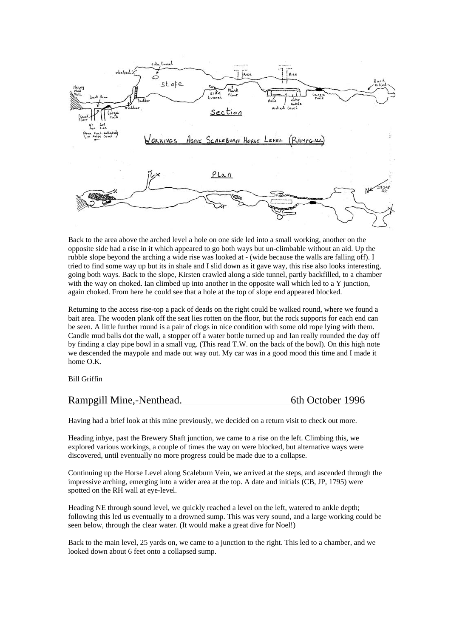

Back to the area above the arched level a hole on one side led into a small working, another on the opposite side had a rise in it which appeared to go both ways but un-climbable without an aid. Up the rubble slope beyond the arching a wide rise was looked at - (wide because the walls are falling off). I tried to find some way up but its in shale and I slid down as it gave way, this rise also looks interesting, going both ways. Back to the slope, Kirsten crawled along a side tunnel, partly backfilled, to a chamber with the way on choked. Ian climbed up into another in the opposite wall which led to a Y junction, again choked. From here he could see that a hole at the top of slope end appeared blocked.

Returning to the access rise-top a pack of deads on the right could be walked round, where we found a bait area. The wooden plank off the seat lies rotten on the floor, but the rock supports for each end can be seen. A little further round is a pair of clogs in nice condition with some old rope lying with them. Candle mud balls dot the wall, a stopper off a water bottle turned up and Ian really rounded the day off by finding a clay pipe bowl in a small vug. (This read T.W. on the back of the bowl). On this high note we descended the maypole and made out way out. My car was in a good mood this time and I made it home O.K.

Bill Griffin

# Rampgill Mine,-Nenthead. 6th October 1996

Having had a brief look at this mine previously, we decided on a return visit to check out more.

Heading inbye, past the Brewery Shaft junction, we came to a rise on the left. Climbing this, we explored various workings, a couple of times the way on were blocked, but alternative ways were discovered, until eventually no more progress could be made due to a collapse.

Continuing up the Horse Level along Scaleburn Vein, we arrived at the steps, and ascended through the impressive arching, emerging into a wider area at the top. A date and initials (CB, JP, 1795) were spotted on the RH wall at eye-level.

Heading NE through sound level, we quickly reached a level on the left, watered to ankle depth; following this led us eventually to a drowned sump. This was very sound, and a large working could be seen below, through the clear water. (It would make a great dive for Noel!)

Back to the main level, 25 yards on, we came to a junction to the right. This led to a chamber, and we looked down about 6 feet onto a collapsed sump.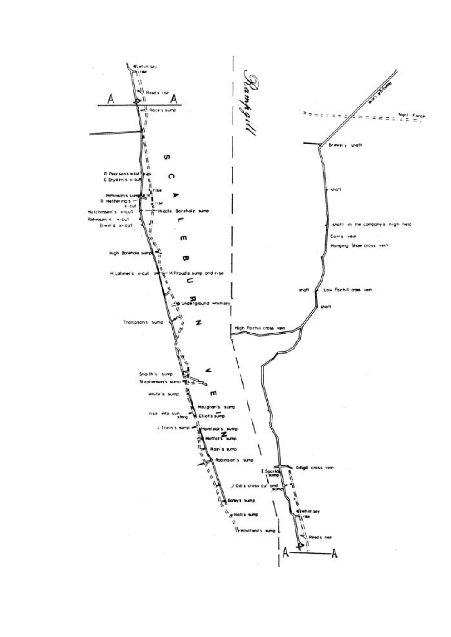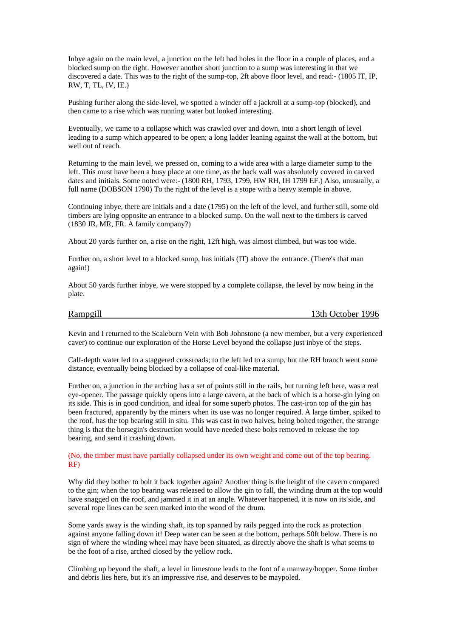Inbye again on the main level, a junction on the left had holes in the floor in a couple of places, and a blocked sump on the right. However another short junction to a sump was interesting in that we discovered a date. This was to the right of the sump-top, 2ft above floor level, and read:- (1805 IT, IP, RW, T, TL, IV, IE.)

Pushing further along the side-level, we spotted a winder off a jackroll at a sump-top (blocked), and then came to a rise which was running water but looked interesting.

Eventually, we came to a collapse which was crawled over and down, into a short length of level leading to a sump which appeared to be open; a long ladder leaning against the wall at the bottom, but well out of reach.

Returning to the main level, we pressed on, coming to a wide area with a large diameter sump to the left. This must have been a busy place at one time, as the back wall was absolutely covered in carved dates and initials. Some noted were:- (1800 RH, 1793, 1799, HW RH, IH 1799 EF.) Also, unusually, a full name (DOBSON 1790) To the right of the level is a stope with a heavy stemple in above.

Continuing inbye, there are initials and a date (1795) on the left of the level, and further still, some old timbers are lying opposite an entrance to a blocked sump. On the wall next to the timbers is carved (1830 JR, MR, FR. A family company?)

About 20 yards further on, a rise on the right, 12ft high, was almost climbed, but was too wide.

Further on, a short level to a blocked sump, has initials (IT) above the entrance. (There's that man again!)

About 50 yards further inbye, we were stopped by a complete collapse, the level by now being in the plate.

Rampgill 13th October 1996

Kevin and I returned to the Scaleburn Vein with Bob Johnstone (a new member, but a very experienced caver) to continue our exploration of the Horse Level beyond the collapse just inbye of the steps.

Calf-depth water led to a staggered crossroads; to the left led to a sump, but the RH branch went some distance, eventually being blocked by a collapse of coal-like material.

Further on, a junction in the arching has a set of points still in the rails, but turning left here, was a real eye-opener. The passage quickly opens into a large cavern, at the back of which is a horse-gin lying on its side. This is in good condition, and ideal for some superb photos. The cast-iron top of the gin has been fractured, apparently by the miners when its use was no longer required. A large timber, spiked to the roof, has the top bearing still in situ. This was cast in two halves, being bolted together, the strange thing is that the horsegin's destruction would have needed these bolts removed to release the top bearing, and send it crashing down.

(No, the timber must have partially collapsed under its own weight and come out of the top bearing. RF)

Why did they bother to bolt it back together again? Another thing is the height of the cavern compared to the gin; when the top bearing was released to allow the gin to fall, the winding drum at the top would have snagged on the roof, and jammed it in at an angle. Whatever happened, it is now on its side, and several rope lines can be seen marked into the wood of the drum.

Some yards away is the winding shaft, its top spanned by rails pegged into the rock as protection against anyone falling down it! Deep water can be seen at the bottom, perhaps 50ft below. There is no sign of where the winding wheel may have been situated, as directly above the shaft is what seems to be the foot of a rise, arched closed by the yellow rock.

Climbing up beyond the shaft, a level in limestone leads to the foot of a manway/hopper. Some timber and debris lies here, but it's an impressive rise, and deserves to be maypoled.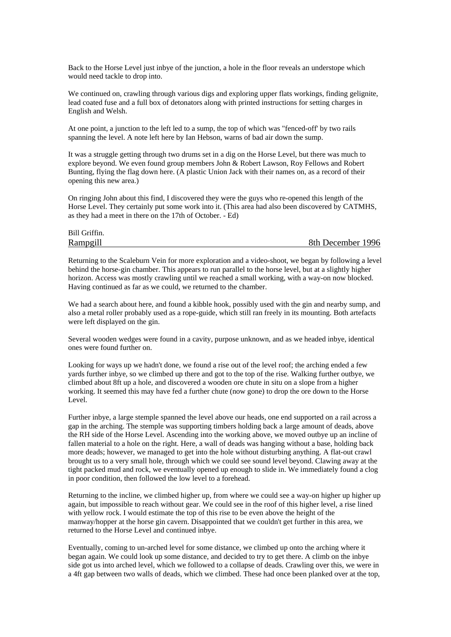Back to the Horse Level just inbye of the junction, a hole in the floor reveals an understope which would need tackle to drop into.

We continued on, crawling through various digs and exploring upper flats workings, finding gelignite, lead coated fuse and a full box of detonators along with printed instructions for setting charges in English and Welsh.

At one point, a junction to the left led to a sump, the top of which was "fenced-off' by two rails spanning the level. A note left here by Ian Hebson, warns of bad air down the sump.

It was a struggle getting through two drums set in a dig on the Horse Level, but there was much to explore beyond. We even found group members John & Robert Lawson, Roy Fellows and Robert Bunting, flying the flag down here. (A plastic Union Jack with their names on, as a record of their opening this new area.)

On ringing John about this find, I discovered they were the guys who re-opened this length of the Horse Level. They certainly put some work into it. (This area had also been discovered by CATMHS, as they had a meet in there on the 17th of October. - Ed)

| Bill Griffin. |                   |
|---------------|-------------------|
| Rampgill      | 8th December 1996 |

Returning to the Scaleburn Vein for more exploration and a video-shoot, we began by following a level behind the horse-gin chamber. This appears to run parallel to the horse level, but at a slightly higher horizon. Access was mostly crawling until we reached a small working, with a way-on now blocked. Having continued as far as we could, we returned to the chamber.

We had a search about here, and found a kibble hook, possibly used with the gin and nearby sump, and also a metal roller probably used as a rope-guide, which still ran freely in its mounting. Both artefacts were left displayed on the gin.

Several wooden wedges were found in a cavity, purpose unknown, and as we headed inbye, identical ones were found further on.

Looking for ways up we hadn't done, we found a rise out of the level roof; the arching ended a few yards further inbye, so we climbed up there and got to the top of the rise. Walking further outbye, we climbed about 8ft up a hole, and discovered a wooden ore chute in situ on a slope from a higher working. It seemed this may have fed a further chute (now gone) to drop the ore down to the Horse Level.

Further inbye, a large stemple spanned the level above our heads, one end supported on a rail across a gap in the arching. The stemple was supporting timbers holding back a large amount of deads, above the RH side of the Horse Level. Ascending into the working above, we moved outbye up an incline of fallen material to a hole on the right. Here, a wall of deads was hanging without a base, holding back more deads; however, we managed to get into the hole without disturbing anything. A flat-out crawl brought us to a very small hole, through which we could see sound level beyond. Clawing away at the tight packed mud and rock, we eventually opened up enough to slide in. We immediately found a clog in poor condition, then followed the low level to a forehead.

Returning to the incline, we climbed higher up, from where we could see a way-on higher up higher up again, but impossible to reach without gear. We could see in the roof of this higher level, a rise lined with yellow rock. I would estimate the top of this rise to be even above the height of the manway/hopper at the horse gin cavern. Disappointed that we couldn't get further in this area, we returned to the Horse Level and continued inbye.

Eventually, coming to un-arched level for some distance, we climbed up onto the arching where it began again. We could look up some distance, and decided to try to get there. A climb on the inbye side got us into arched level, which we followed to a collapse of deads. Crawling over this, we were in a 4ft gap between two walls of deads, which we climbed. These had once been planked over at the top,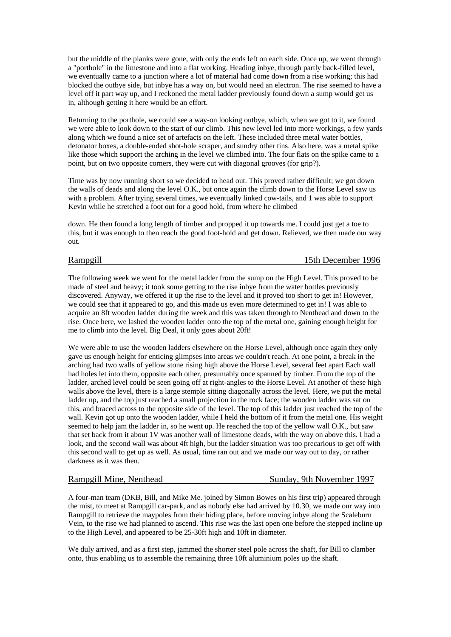but the middle of the planks were gone, with only the ends left on each side. Once up, we went through a "porthole" in the limestone and into a flat working. Heading inbye, through partly back-filled level, we eventually came to a junction where a lot of material had come down from a rise working; this had blocked the outbye side, but inbye has a way on, but would need an electron. The rise seemed to have a level off it part way up, and I reckoned the metal ladder previously found down a sump would get us in, although getting it here would be an effort.

Returning to the porthole, we could see a way-on looking outbye, which, when we got to it, we found we were able to look down to the start of our climb. This new level led into more workings, a few yards along which we found a nice set of artefacts on the left. These included three metal water bottles, detonator boxes, a double-ended shot-hole scraper, and sundry other tins. Also here, was a metal spike like those which support the arching in the level we climbed into. The four flats on the spike came to a point, but on two opposite corners, they were cut with diagonal grooves (for grip?).

Time was by now running short so we decided to head out. This proved rather difficult; we got down the walls of deads and along the level O.K., but once again the climb down to the Horse Level saw us with a problem. After trying several times, we eventually linked cow-tails, and 1 was able to support Kevin while he stretched a foot out for a good hold, from where he climbed

down. He then found a long length of timber and propped it up towards me. I could just get a toe to this, but it was enough to then reach the good foot-hold and get down. Relieved, we then made our way out.

# Rampgill 15th December 1996

The following week we went for the metal ladder from the sump on the High Level. This proved to be made of steel and heavy; it took some getting to the rise inbye from the water bottles previously discovered. Anyway, we offered it up the rise to the level and it proved too short to get in! However, we could see that it appeared to go, and this made us even more determined to get in! I was able to acquire an 8ft wooden ladder during the week and this was taken through to Nenthead and down to the rise. Once here, we lashed the wooden ladder onto the top of the metal one, gaining enough height for me to climb into the level. Big Deal, it only goes about 20ft!

We were able to use the wooden ladders elsewhere on the Horse Level, although once again they only gave us enough height for enticing glimpses into areas we couldn't reach. At one point, a break in the arching had two walls of yellow stone rising high above the Horse Level, several feet apart Each wall had holes let into them, opposite each other, presumably once spanned by timber. From the top of the ladder, arched level could be seen going off at right-angles to the Horse Level. At another of these high walls above the level, there is a large stemple sitting diagonally across the level. Here, we put the metal ladder up, and the top just reached a small projection in the rock face; the wooden ladder was sat on this, and braced across to the opposite side of the level. The top of this ladder just reached the top of the wall. Kevin got up onto the wooden ladder, while I held the bottom of it from the metal one. His weight seemed to help jam the ladder in, so he went up. He reached the top of the yellow wall O.K., but saw that set back from it about 1V was another wall of limestone deads, with the way on above this. I had a look, and the second wall was about 4ft high, but the ladder situation was too precarious to get off with this second wall to get up as well. As usual, time ran out and we made our way out to day, or rather darkness as it was then.

# Rampgill Mine, Nenthead Sunday, 9th November 1997

A four-man team (DKB, Bill, and Mike Me. joined by Simon Bowes on his first trip) appeared through the mist, to meet at Rampgill car-park, and as nobody else had arrived by 10.30, we made our way into Rampgill to retrieve the maypoles from their hiding place, before moving inbye along the Scaleburn Vein, to the rise we had planned to ascend. This rise was the last open one before the stepped incline up to the High Level, and appeared to be 25-30ft high and 10ft in diameter.

We duly arrived, and as a first step, jammed the shorter steel pole across the shaft, for Bill to clamber onto, thus enabling us to assemble the remaining three 10ft aluminium poles up the shaft.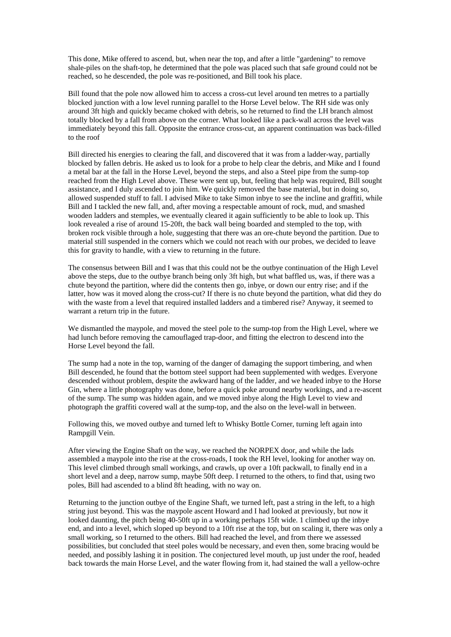This done, Mike offered to ascend, but, when near the top, and after a little "gardening" to remove shale-piles on the shaft-top, he determined that the pole was placed such that safe ground could not be reached, so he descended, the pole was re-positioned, and Bill took his place.

Bill found that the pole now allowed him to access a cross-cut level around ten metres to a partially blocked junction with a low level running parallel to the Horse Level below. The RH side was only around 3ft high and quickly became choked with debris, so he returned to find the LH branch almost totally blocked by a fall from above on the corner. What looked like a pack-wall across the level was immediately beyond this fall. Opposite the entrance cross-cut, an apparent continuation was back-filled to the roof

Bill directed his energies to clearing the fall, and discovered that it was from a ladder-way, partially blocked by fallen debris. He asked us to look for a probe to help clear the debris, and Mike and I found a metal bar at the fall in the Horse Level, beyond the steps, and also a Steel pipe from the sump-top reached from the High Level above. These were sent up, but, feeling that help was required, Bill sought assistance, and I duly ascended to join him. We quickly removed the base material, but in doing so, allowed suspended stuff to fall. I advised Mike to take Simon inbye to see the incline and graffiti, while Bill and I tackled the new fall, and, after moving a respectable amount of rock, mud, and smashed wooden ladders and stemples, we eventually cleared it again sufficiently to be able to look up. This look revealed a rise of around 15-20ft, the back wall being boarded and stempled to the top, with broken rock visible through a hole, suggesting that there was an ore-chute beyond the partition. Due to material still suspended in the corners which we could not reach with our probes, we decided to leave this for gravity to handle, with a view to returning in the future.

The consensus between Bill and I was that this could not be the outbye continuation of the High Level above the steps, due to the outbye branch being only 3ft high, but what baffled us, was, if there was a chute beyond the partition, where did the contents then go, inbye, or down our entry rise; and if the latter, how was it moved along the cross-cut? If there is no chute beyond the partition, what did they do with the waste from a level that required installed ladders and a timbered rise? Anyway, it seemed to warrant a return trip in the future.

We dismantled the maypole, and moved the steel pole to the sump-top from the High Level, where we had lunch before removing the camouflaged trap-door, and fitting the electron to descend into the Horse Level beyond the fall.

The sump had a note in the top, warning of the danger of damaging the support timbering, and when Bill descended, he found that the bottom steel support had been supplemented with wedges. Everyone descended without problem, despite the awkward hang of the ladder, and we headed inbye to the Horse Gin, where a little photography was done, before a quick poke around nearby workings, and a re-ascent of the sump. The sump was hidden again, and we moved inbye along the High Level to view and photograph the graffiti covered wall at the sump-top, and the also on the level-wall in between.

Following this, we moved outbye and turned left to Whisky Bottle Corner, turning left again into Rampgill Vein.

After viewing the Engine Shaft on the way, we reached the NORPEX door, and while the lads assembled a maypole into the rise at the cross-roads, I took the RH level, looking for another way on. This level climbed through small workings, and crawls, up over a 10ft packwall, to finally end in a short level and a deep, narrow sump, maybe 50ft deep. I returned to the others, to find that, using two poles, Bill had ascended to a blind 8ft heading, with no way on.

Returning to the junction outbye of the Engine Shaft, we turned left, past a string in the left, to a high string just beyond. This was the maypole ascent Howard and I had looked at previously, but now it looked daunting, the pitch being 40-50ft up in a working perhaps 15ft wide. 1 climbed up the inbye end, and into a level, which sloped up beyond to a 10ft rise at the top, but on scaling it, there was only a small working, so I returned to the others. Bill had reached the level, and from there we assessed possibilities, but concluded that steel poles would be necessary, and even then, some bracing would be needed, and possibly lashing it in position. The conjectured level mouth, up just under the roof, headed back towards the main Horse Level, and the water flowing from it, had stained the wall a yellow-ochre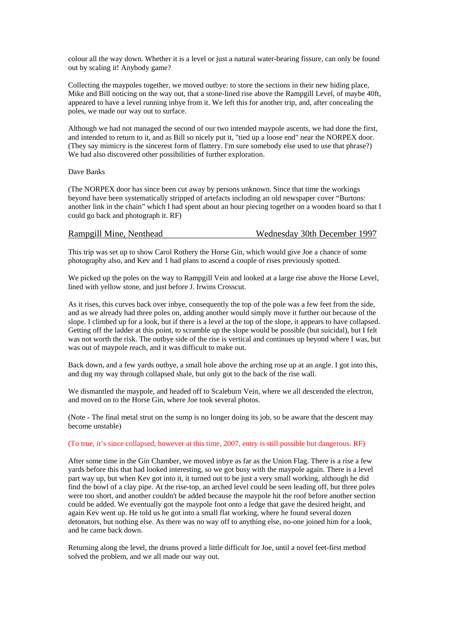colour all the way down. Whether it is a level or just a natural water-bearing fissure, can only be found out by scaling it! Anybody game?

Collecting the maypoles together, we moved outbye: to store the sections in their new hiding place, Mike and Bill noticing on the way out, that a stone-lined rise above the Rampgill Level, of maybe 40ft, appeared to have a level running inbye from it. We left this for another trip, and, after concealing the poles, we made our way out to surface.

Although we had not managed the second of our two intended maypole ascents, we had done the first, and intended to return to it, and as Bill so nicely put it, "tied up a loose end" near the NORPEX door. (They say mimicry is the sincerest form of flattery. I'm sure somebody else used to use that phrase?) We had also discovered other possibilities of further exploration.

Dave Banks

(The NORPEX door has since been cut away by persons unknown. Since that time the workings beyond have been systematically stripped of artefacts including an old newspaper cover "Burtons: another link in the chain" which I had spent about an hour piecing together on a wooden board so that I could go back and photograph it. RF)

| Rampgill Mine, Nenthead<br>Wednesday 30th December 1997 |
|---------------------------------------------------------|
|---------------------------------------------------------|

This trip was set up to show Carol Rothery the Horse Gin, which would give Joe a chance of some photography also, and Kev and 1 had plans to ascend a couple of rises previously spotted.

We picked up the poles on the way to Rampgill Vein and looked at a large rise above the Horse Level, lined with yellow stone, and just before J. Irwins Crosscut.

As it rises, this curves back over inbye, consequently the top of the pole was a few feet from the side, and as we already had three poles on, adding another would simply move it further out because of the slope. I climbed up for a look, but if there is a level at the top of the slope, it appears to have collapsed. Getting off the ladder at this point, to scramble up the slope would be possible (but suicidal), but I felt was not worth the risk. The outbye side of the rise is vertical and continues up beyond where I was, but was out of maypole reach, and it was difficult to make out.

Back down, and a few yards outbye, a small hole above the arching rose up at an angle. I got into this, and dug my way through collapsed shale, but only got to the back of the rise wall.

We dismantled the maypole, and headed off to Scaleburn Vein, where we all descended the electron, and moved on to the Horse Gin, where Joe took several photos.

(Note - The final metal strut on the sump is no longer doing its job, so be aware that the descent may become unstable)

### (To true, it's since collapsed, however at this time, 2007, entry is still possible but dangerous. RF)

After some time in the Gin Chamber, we moved inbye as far as the Union Flag. There is a rise a few yards before this that had looked interesting, so we got busy with the maypole again. There is a level part way up, but when Kev got into it, it turned out to be just a very small working, although he did find the bowl of a clay pipe. At the rise-top, an arched level could be seen leading off, but three poles were too short, and another couldn't be added because the maypole hit the roof before another section could be added. We eventually got the maypole foot onto a ledge that gave the desired height, and again Kev went up. He told us he got into a small flat working, where he found several dozen detonators, but nothing else. As there was no way off to anything else, no-one joined him for a look, and he came back down.

Returning along the level, the drums proved a little difficult for Joe, until a novel feet-first method solved the problem, and we all made our way out.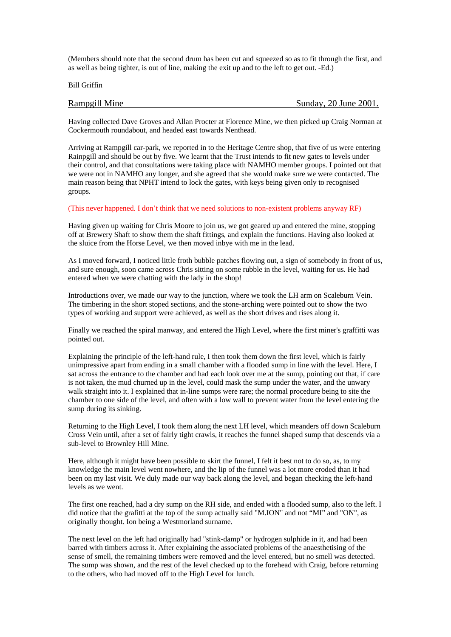(Members should note that the second drum has been cut and squeezed so as to fit through the first, and as well as being tighter, is out of line, making the exit up and to the left to get out. -Ed.)

Bill Griffin

# Rampgill Mine Sunday, 20 June 2001.

Having collected Dave Groves and Allan Procter at Florence Mine, we then picked up Craig Norman at Cockermouth roundabout, and headed east towards Nenthead.

Arriving at Rampgill car-park, we reported in to the Heritage Centre shop, that five of us were entering Rainpgill and should be out by five. We learnt that the Trust intends to fit new gates to levels under their control, and that consultations were taking place with NAMHO member groups. I pointed out that we were not in NAMHO any longer, and she agreed that she would make sure we were contacted. The main reason being that NPHT intend to lock the gates, with keys being given only to recognised groups.

### (This never happened. I don't think that we need solutions to non-existent problems anyway RF)

Having given up waiting for Chris Moore to join us, we got geared up and entered the mine, stopping off at Brewery Shaft to show them the shaft fittings, and explain the functions. Having also looked at the sluice from the Horse Level, we then moved inbye with me in the lead.

As I moved forward, I noticed little froth bubble patches flowing out, a sign of somebody in front of us, and sure enough, soon came across Chris sitting on some rubble in the level, waiting for us. He had entered when we were chatting with the lady in the shop!

Introductions over, we made our way to the junction, where we took the LH arm on Scaleburn Vein. The timbering in the short stoped sections, and the stone-arching were pointed out to show the two types of working and support were achieved, as well as the short drives and rises along it.

Finally we reached the spiral manway, and entered the High Level, where the first miner's graffitti was pointed out.

Explaining the principle of the left-hand rule, I then took them down the first level, which is fairly unimpressive apart from ending in a small chamber with a flooded sump in line with the level. Here, I sat across the entrance to the chamber and had each look over me at the sump, pointing out that, if care is not taken, the mud churned up in the level, could mask the sump under the water, and the unwary walk straight into it. I explained that in-line sumps were rare; the normal procedure being to site the chamber to one side of the level, and often with a low wall to prevent water from the level entering the sump during its sinking.

Returning to the High Level, I took them along the next LH level, which meanders off down Scaleburn Cross Vein until, after a set of fairly tight crawls, it reaches the funnel shaped sump that descends via a sub-level to Brownley Hill Mine.

Here, although it might have been possible to skirt the funnel, I felt it best not to do so, as, to my knowledge the main level went nowhere, and the lip of the funnel was a lot more eroded than it had been on my last visit. We duly made our way back along the level, and began checking the left-hand levels as we went.

The first one reached, had a dry sump on the RH side, and ended with a flooded sump, also to the left. I did notice that the grafitti at the top of the sump actually said "M.ION" and not "MI" and "ON", as originally thought. Ion being a Westmorland surname.

The next level on the left had originally had "stink-damp" or hydrogen sulphide in it, and had been barred with timbers across it. After explaining the associated problems of the anaesthetising of the sense of smell, the remaining timbers were removed and the level entered, but no smell was detected. The sump was shown, and the rest of the level checked up to the forehead with Craig, before returning to the others, who had moved off to the High Level for lunch.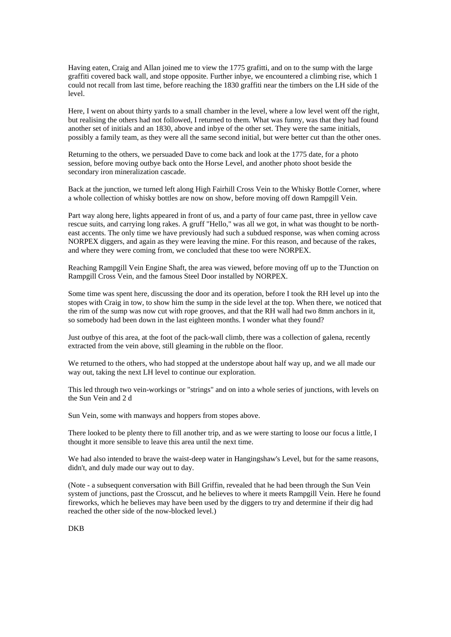Having eaten, Craig and Allan joined me to view the 1775 grafitti, and on to the sump with the large graffiti covered back wall, and stope opposite. Further inbye, we encountered a climbing rise, which 1 could not recall from last time, before reaching the 1830 graffiti near the timbers on the LH side of the level.

Here, I went on about thirty yards to a small chamber in the level, where a low level went off the right, but realising the others had not followed, I returned to them. What was funny, was that they had found another set of initials and an 1830, above and inbye of the other set. They were the same initials, possibly a family team, as they were all the same second initial, but were better cut than the other ones.

Returning to the others, we persuaded Dave to come back and look at the 1775 date, for a photo session, before moving outbye back onto the Horse Level, and another photo shoot beside the secondary iron mineralization cascade.

Back at the junction, we turned left along High Fairhill Cross Vein to the Whisky Bottle Corner, where a whole collection of whisky bottles are now on show, before moving off down Rampgill Vein.

Part way along here, lights appeared in front of us, and a party of four came past, three in yellow cave rescue suits, and carrying long rakes. A gruff "Hello," was all we got, in what was thought to be northeast accents. The only time we have previously had such a subdued response, was when coming across NORPEX diggers, and again as they were leaving the mine. For this reason, and because of the rakes, and where they were coming from, we concluded that these too were NORPEX.

Reaching Rampgill Vein Engine Shaft, the area was viewed, before moving off up to the TJunction on Rampgill Cross Vein, and the famous Steel Door installed by NORPEX.

Some time was spent here, discussing the door and its operation, before I took the RH level up into the stopes with Craig in tow, to show him the sump in the side level at the top. When there, we noticed that the rim of the sump was now cut with rope grooves, and that the RH wall had two 8mm anchors in it, so somebody had been down in the last eighteen months. I wonder what they found?

Just outbye of this area, at the foot of the pack-wall climb, there was a collection of galena, recently extracted from the vein above, still gleaming in the rubble on the floor.

We returned to the others, who had stopped at the understope about half way up, and we all made our way out, taking the next LH level to continue our exploration.

This led through two vein-workings or "strings" and on into a whole series of junctions, with levels on the Sun Vein and 2 d

Sun Vein, some with manways and hoppers from stopes above.

There looked to be plenty there to fill another trip, and as we were starting to loose our focus a little, I thought it more sensible to leave this area until the next time.

We had also intended to brave the waist-deep water in Hangingshaw's Level, but for the same reasons, didn't, and duly made our way out to day.

(Note - a subsequent conversation with Bill Griffin, revealed that he had been through the Sun Vein system of junctions, past the Crosscut, and he believes to where it meets Rampgill Vein. Here he found fireworks, which he believes may have been used by the diggers to try and determine if their dig had reached the other side of the now-blocked level.)

DKB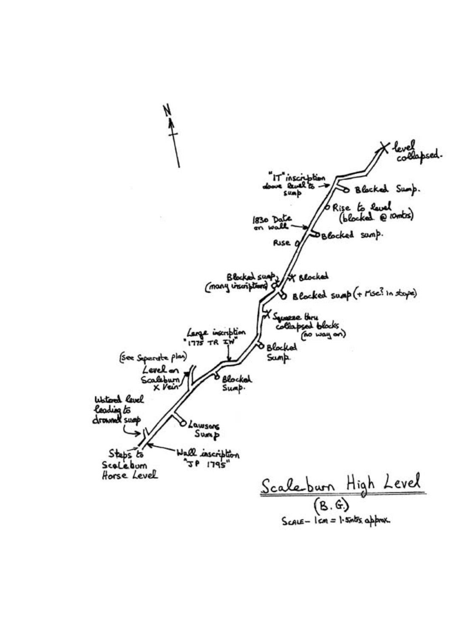